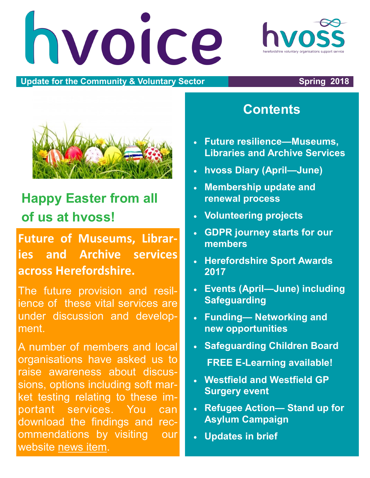hvoice

#### **Update for the Community & Voluntary Sector The Community of Spring 2018**



# **Happy Easter from all of us at hvoss!**

**Future of Museums, Libraries and Archive services across Herefordshire.**

The future provision and resilience of these vital services are under discussion and development.

A number of members and local organisations have asked us to raise awareness about discussions, options including soft market testing relating to these important services. You can download the findings and recommendations by visiting our website [news item.](http://www.hvoss.org.uk/latest-news/future-resilience-of-museum-services-in-herefordshire.aspx)

### **Contents**

- **Future resilience—Museums, Libraries and Archive Services**
- **hvoss Diary (April—June)**
- **Membership update and renewal process**
- **Volunteering projects**
- **GDPR journey starts for our members**
- **Herefordshire Sport Awards 2017**
- **Events (April—June) including Safeguarding**
- **Funding— Networking and new opportunities**
- **Safeguarding Children Board FREE E-Learning available!**
- **Westfield and Westfield GP Surgery event**
- **Refugee Action— Stand up for Asylum Campaign**
- **Updates in brief**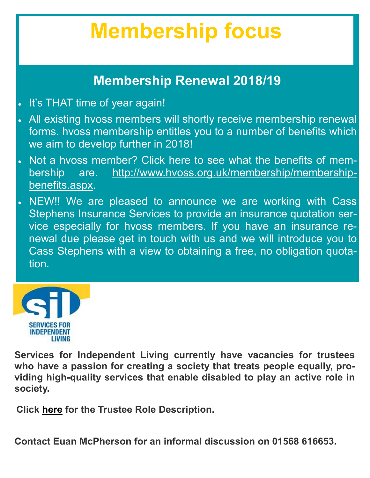# **Membership focus**

### **Membership Renewal 2018/19**

- It's THAT time of year again!
- All existing hvoss members will shortly receive membership renewal forms. hvoss membership entitles you to a number of benefits which we aim to develop further in 2018!
- Not a hvoss member? Click here to see what the benefits of membership are. [http://www.hvoss.org.uk/membership/membership](http://www.hvoss.org.uk/membership/membership-benefits.aspx)[benefits.aspx.](http://www.hvoss.org.uk/membership/membership-benefits.aspx)
- NEW!! We are pleased to announce we are working with Cass Stephens Insurance Services to provide an insurance quotation service especially for hvoss members. If you have an insurance renewal due please get in touch with us and we will introduce you to Cass Stephens with a view to obtaining a free, no obligation quotation.



**Services for Independent Living currently have vacancies for trustees who have a passion for creating a society that treats people equally, providing high-quality services that enable disabled to play an active role in society.** 

**Click [here](http://www.hvoss.org.uk/media/72305/SILTrustee-Role-Description.doc) for the Trustee Role Description.** 

**Contact Euan McPherson for an informal discussion on 01568 616653.**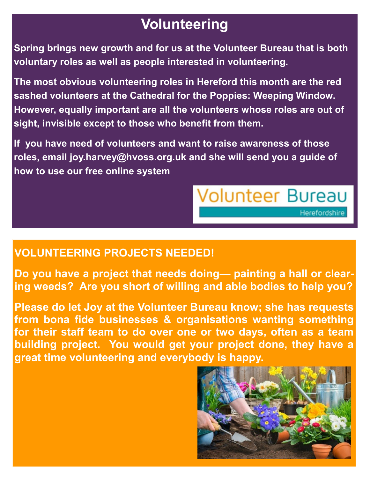## **Volunteering**

**Spring brings new growth and for us at the Volunteer Bureau that is both voluntary roles as well as people interested in volunteering.** 

**The most obvious volunteering roles in Hereford this month are the red sashed volunteers at the Cathedral for the Poppies: Weeping Window. However, equally important are all the volunteers whose roles are out of sight, invisible except to those who benefit from them.**

**If you have need of volunteers and want to raise awareness of those roles, email joy.harvey@hvoss.org.uk and she will send you a guide of how to use our free online system**

#### **VOLUNTEERING PROJECTS NEEDED!**

**Do you have a project that needs doing— painting a hall or clearing weeds? Are you short of willing and able bodies to help you?**

**Please do let Joy at the Volunteer Bureau know; she has requests from bona fide businesses & organisations wanting something for their staff team to do over one or two days, often as a team building project. You would get your project done, they have a great time volunteering and everybody is happy.**



**Volunteer Bureau** 

Herefordshire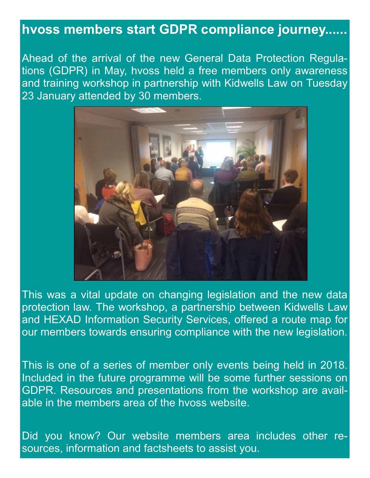### **hvoss members start GDPR compliance journey......**

Ahead of the arrival of the new General Data Protection Regulations (GDPR) in May, hvoss held a free members only awareness and training workshop in partnership with Kidwells Law on Tuesday 23 January attended by 30 members.



This was a vital update on changing legislation and the new data protection law. The workshop, a partnership between Kidwells Law and HEXAD Information Security Services, offered a route map for our members towards ensuring compliance with the new legislation.

This is one of a series of member only events being held in 2018. Included in the future programme will be some further sessions on GDPR. Resources and presentations from the workshop are available in the members area of the hvoss website.

Did you know? Our website members area includes other resources, information and factsheets to assist you.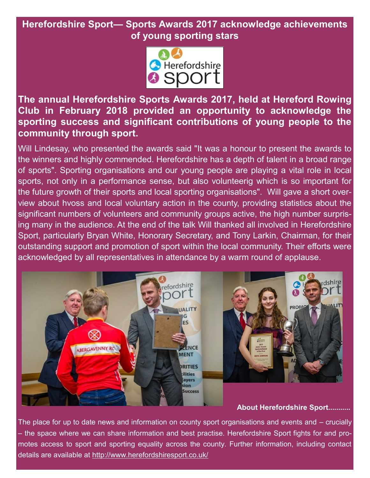#### **Herefordshire Sport— Sports Awards 2017 acknowledge achievements of young sporting stars**



**The annual Herefordshire Sports Awards 2017, held at Hereford Rowing Club in February 2018 provided an opportunity to acknowledge the sporting success and significant contributions of young people to the community through sport.**

Will Lindesay, who presented the awards said "It was a honour to present the awards to the winners and highly commended. Herefordshire has a depth of talent in a broad range of sports". Sporting organisations and our young people are playing a vital role in local sports, not only in a performance sense, but also volunteerig which is so important for the future growth of their sports and local sporting organisations". Will gave a short overview about hvoss and local voluntary action in the county, providing statistics about the significant numbers of volunteers and community groups active, the high number surprising many in the audience. At the end of the talk Will thanked all involved in Herefordshire Sport, particularly Bryan White, Honorary Secretary, and Tony Larkin, Chairman, for their outstanding support and promotion of sport within the local community. Their efforts were acknowledged by all representatives in attendance by a warm round of applause.



#### **About Herefordshire Sport...........**

The place for up to date news and information on county sport organisations and events and – crucially – the space where we can share information and best practise. Herefordshire Sport fights for and promotes access to sport and sporting equality across the county. Further information, including contact details are available at <http://www.herefordshiresport.co.uk/>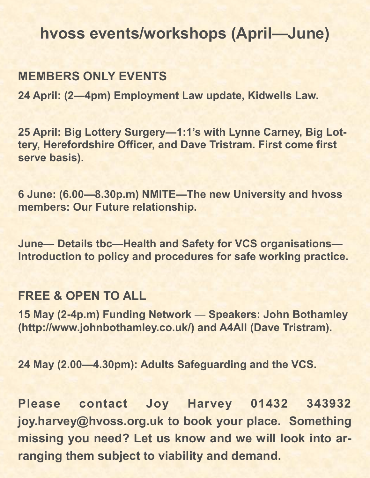### **hvoss events/workshops (April—June)**

### **MEMBERS ONLY EVENTS**

**24 April: (2—4pm) Employment Law update, Kidwells Law.** 

**25 April: Big Lottery Surgery—1:1's with Lynne Carney, Big Lottery, Herefordshire Officer, and Dave Tristram. First come first serve basis).**

**6 June: (6.00—8.30p.m) NMITE—The new University and hvoss members: Our Future relationship.**

**June— Details tbc—Health and Safety for VCS organisations— Introduction to policy and procedures for safe working practice.**

#### **FREE & OPEN TO ALL**

**15 May (2-4p.m) Funding Network** — **Speakers: John Bothamley (http://www.johnbothamley.co.uk/) and A4All (Dave Tristram).** 

**24 May (2.00—4.30pm): Adults Safeguarding and the VCS.**

**Please contact Joy Harvey 01432 343932 joy.harvey@hvoss.org.uk to book your place. Something missing you need? Let us know and we will look into arranging them subject to viability and demand.**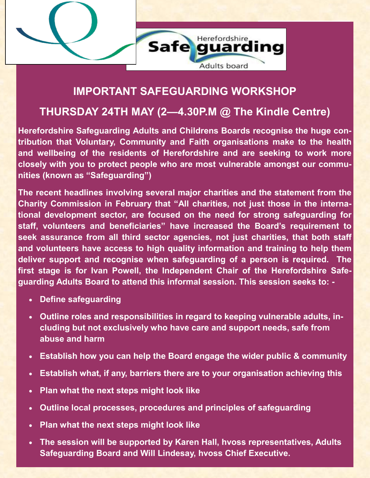

#### **IMPORTANT SAFEGUARDING WORKSHOP**

#### **THURSDAY 24TH MAY (2—4.30P.M @ The Kindle Centre)**

**Herefordshire Safeguarding Adults and Childrens Boards recognise the huge contribution that Voluntary, Community and Faith organisations make to the health and wellbeing of the residents of Herefordshire and are seeking to work more closely with you to protect people who are most vulnerable amongst our communities (known as "Safeguarding")**

**The recent headlines involving several major charities and the statement from the Charity Commission in February that "All charities, not just those in the international development sector, are focused on the need for strong safeguarding for staff, volunteers and beneficiaries" have increased the Board's requirement to seek assurance from all third sector agencies, not just charities, that both staff and volunteers have access to high quality information and training to help them deliver support and recognise when safeguarding of a person is required. The first stage is for Ivan Powell, the Independent Chair of the Herefordshire Safeguarding Adults Board to attend this informal session. This session seeks to: -**

- **Define safeguarding**
- **Outline roles and responsibilities in regard to keeping vulnerable adults, including but not exclusively who have care and support needs, safe from abuse and harm**
- **Establish how you can help the Board engage the wider public & community**
- **Establish what, if any, barriers there are to your organisation achieving this**
- **Plan what the next steps might look like**
- **Outline local processes, procedures and principles of safeguarding**
- **Plan what the next steps might look like**
- **The session will be supported by Karen Hall, hvoss representatives, Adults Safeguarding Board and Will Lindesay, hvoss Chief Executive.**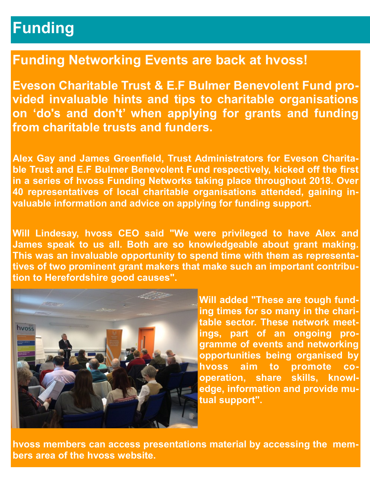# **Funding**

### **Funding Networking Events are back at hvoss!**

**Eveson Charitable Trust & E.F Bulmer Benevolent Fund provided invaluable hints and tips to charitable organisations on 'do's and don't' when applying for grants and funding from charitable trusts and funders.**

**Alex Gay and James Greenfield, Trust Administrators for Eveson Charitable Trust and E.F Bulmer Benevolent Fund respectively, kicked off the first in a series of hvoss Funding Networks taking place throughout 2018. Over 40 representatives of local charitable organisations attended, gaining invaluable information and advice on applying for funding support.**

**Will Lindesay, hvoss CEO said "We were privileged to have Alex and James speak to us all. Both are so knowledgeable about grant making. This was an invaluable opportunity to spend time with them as representatives of two prominent grant makers that make such an important contribution to Herefordshire good causes".** 



**Will added "These are tough funding times for so many in the charitable sector. These network meetings, part of an ongoing programme of events and networking opportunities being organised by hvoss aim to promote cooperation, share skills, knowledge, information and provide mutual support".** 

**hvoss members can access presentations material by accessing the members area of the hvoss website.**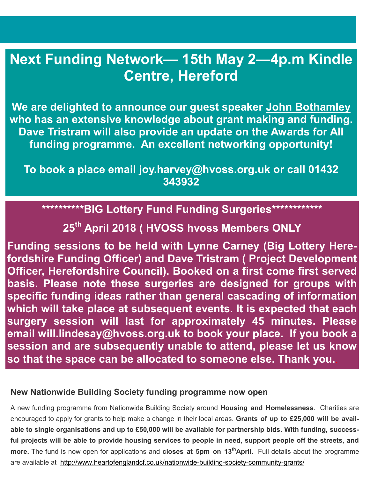### **Next Funding Network— 15th May 2—4p.m Kindle Centre, Hereford**

**We are delighted to announce our guest speaker [John Bothamley](http://www.johnbothamley.co.uk/)  who has an extensive knowledge about grant making and funding. Dave Tristram will also provide an update on the Awards for All funding programme. An excellent networking opportunity!**

**To book a place email joy.harvey@hvoss.org.uk or call 01432 343932**

**\*\*\*\*\*\*\*\*\*\*BIG Lottery Fund Funding Surgeries\*\*\*\*\*\*\*\*\*\*\*\*** 

**25th April 2018 ( HVOSS hvoss Members ONLY** 

**Funding sessions to be held with Lynne Carney (Big Lottery Herefordshire Funding Officer) and Dave Tristram ( Project Development Officer, Herefordshire Council). Booked on a first come first served basis. Please note these surgeries are designed for groups with specific funding ideas rather than general cascading of information which will take place at subsequent events. It is expected that each surgery session will last for approximately 45 minutes. Please email will.lindesay@hvoss.org.uk to book your place. If you book a session and are subsequently unable to attend, please let us know so that the space can be allocated to someone else. Thank you.**.

#### **New Nationwide Building Society funding programme now open**

A new funding programme from Nationwide Building Society around **Housing and Homelessness**. Charities are encouraged to apply for grants to help make a change in their local areas. **Grants of up to £25,000 will be available to single organisations and up to £50,000 will be available for partnership bids. With funding, successful projects will be able to provide housing services to people in need, support people off the streets, and more.** The fund is now open for applications and **closes at 5pm on 13thApril.** Full details about the programme are available at <http://www.heartofenglandcf.co.uk/nationwide-building-society-community-grants/>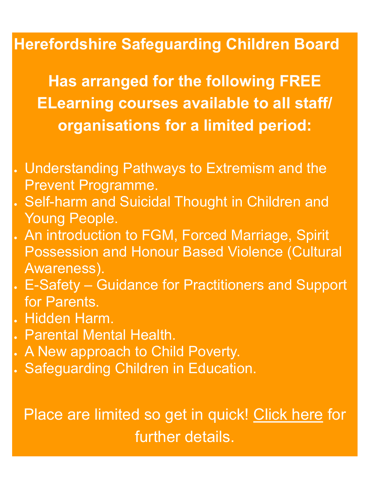# **Herefordshire Safeguarding Children Board**

**Has arranged for the following FREE ELearning courses available to all staff/ organisations for a limited period:**

- Understanding Pathways to Extremism and the Prevent Programme.
- Self-harm and Suicidal Thought in Children and Young People.
- An introduction to FGM, Forced Marriage, Spirit Possession and Honour Based Violence (Cultural Awareness).
- E-Safety Guidance for Practitioners and Support for Parents.
- . Hidden Harm.
- Parental Mental Health.
- . A New approach to Child Poverty.
- . Safeguarding Children in Education.

# Place are limited so get in quick! [Click here](http://www.hvoss.org.uk/media/71655/FLYER-Multipal-Elearning-Courses.pptx) for further details.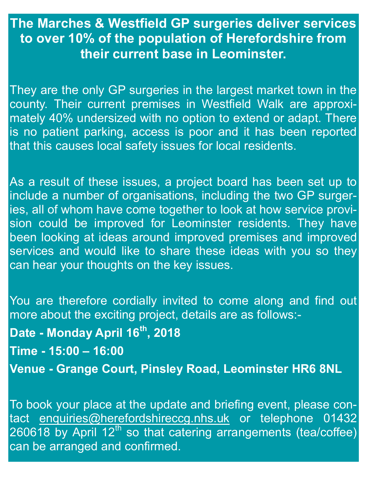### **The Marches & Westfield GP surgeries deliver services to over 10% of the population of Herefordshire from their current base in Leominster.**

They are the only GP surgeries in the largest market town in the county. Their current premises in Westfield Walk are approximately 40% undersized with no option to extend or adapt. There is no patient parking, access is poor and it has been reported that this causes local safety issues for local residents.

As a result of these issues, a project board has been set up to include a number of organisations, including the two GP surgeries, all of whom have come together to look at how service provision could be improved for Leominster residents. They have been looking at ideas around improved premises and improved services and would like to share these ideas with you so they can hear your thoughts on the key issues.

You are therefore cordially invited to come along and find out more about the exciting project, details are as follows:- **Date - Monday April 16th, 2018 Time - 15:00 – 16:00 Venue - Grange Court, Pinsley Road, Leominster HR6 8NL**

To book your place at the update and briefing event, please contact [enquiries@herefordshireccg.nhs.uk](mailto:enquiries@herefordshireccg.nhs.uk) or telephone 01432  $260618$  by April 12<sup>th</sup> so that catering arrangements (tea/coffee) can be arranged and confirmed.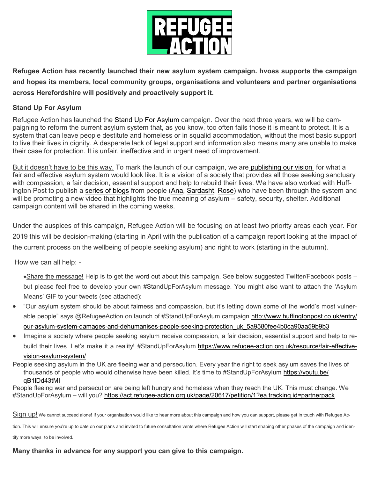

**Refugee Action has recently launched their new asylum system campaign. hvoss supports the campaign and hopes its members, local community groups, organisations and volunteers and partner organisations across Herefordshire will positively and proactively support it.** 

#### **Stand Up For Asylum**

Refugee Action has launched the [Stand Up For Asylum](https://www.refugee-action.org.uk/campaigns/stand-up-for-asylum/) campaign. Over the next three years, we will be campaigning to reform the current asylum system that, as you know, too often fails those it is meant to protect. It is a system that can leave people destitute and homeless or in squalid accommodation, without the most basic support to live their lives in dignity. A desperate lack of legal support and information also means many are unable to make their case for protection. It is unfair, ineffective and in urgent need of improvement.

But it doesn't have to be this way. To mark the launch of our campaign, we are [publishing our vision](http://www.hvoss.org.uk/media/71696/Fair-and-Effective-a-vision-for-the-asylum-system.pdf) for what a fair and effective asylum system would look like. It is a vision of a society that provides all those seeking sanctuary with compassion, a fair decision, essential support and help to rebuild their lives. We have also worked with Huffington Post to publish a [series of blogs](http://www.huffingtonpost.co.uk/entry/our-asylum-system-damages-and-dehumanises-people-seeking-protection_uk_5a9580fee4b0ca90aa59b9b3) from people [\(Ana,](http://www.huffingtonpost.co.uk/entry/my-name-is-not-asylum-seeker-i-am-a-human-being_uk_5a953ff7e4b02cb368c59869) [Sardasht,](http://www.huffingtonpost.co.uk/entry/asylum-is-not-just-about-a-safe-place-to-live-it-is-having-human-rights_uk_5a955b49e4b01f65f59a5f13) [Rose\)](http://www.huffingtonpost.co.uk/entry/i-escaped-my-traffickers-but-now-im-a-captive-of-the-asylum-system_uk_5a954618e4b02cb368c5a0ab) who have been through the system and will be promoting a new video that highlights the true meaning of asylum – safety, security, shelter. Additional campaign content will be shared in the coming weeks.

Under the auspices of this campaign, Refugee Action will be focusing on at least two priority areas each year. For 2019 this will be decision-making (starting in April with the publication of a campaign report looking at the impact of the current process on the wellbeing of people seeking asylum) and right to work (starting in the autumn).

How we can all help: -

- Share the message! Help is to get the word out about this campaign. See below suggested Twitter/Facebook posts but please feel free to develop your own #StandUpForAsylum message. You might also want to attach the 'Asylum Means' GIF to your tweets (see attached):
- "Our asylum system should be about fairness and compassion, but it's letting down some of the world's most vulnerable people" says @RefugeeAction on launch of #StandUpForAsylum campaign [http://www.huffingtonpost.co.uk/entry/](http://www.huffingtonpost.co.uk/entry/our-asylum-system-damages-and-dehumanises-people-seeking-protection_uk_5a9580fee4b0ca90aa59b9b3) [our-asylum-system-damages-and-dehumanises-people-seeking-protection\\_uk\\_5a9580fee4b0ca90aa59b9b3](http://www.huffingtonpost.co.uk/entry/our-asylum-system-damages-and-dehumanises-people-seeking-protection_uk_5a9580fee4b0ca90aa59b9b3)
- Imagine a society where people seeking asylum receive compassion, a fair decision, essential support and help to rebuild their lives. Let's make it a reality! #StandUpForAsylum [https://www.refugee-action.org.uk/resource/fair-effective-](https://www.refugee-action.org.uk/resource/fair-effective-vision-asylum-system/)

#### [vision-asylum-system/](https://www.refugee-action.org.uk/resource/fair-effective-vision-asylum-system/)

People seeking asylum in the UK are fleeing war and persecution. Every year the right to seek asylum saves the lives of thousands of people who would otherwise have been killed. It's time to #StandUpForAsylum [https://youtu.be/](https://youtu.be/qB1lDd43tMI) [qB1lDd43tMI](https://youtu.be/qB1lDd43tMI)

People fleeing war and persecution are being left hungry and homeless when they reach the UK. This must change. We #StandUpForAsylum – will you? <https://act.refugee-action.org.uk/page/20617/petition/1?ea.tracking.id=partnerpack>

Sign up! We cannot succeed alone! If your organisation would like to hear more about this campaign and how you can support, please get in touch with Refugee Ac-

tion. This will ensure you're up to date on our plans and invited to future consultation vents where Refugee Action will start shaping other phases of the campaign and iden-

tify more ways to be involved.

#### **Many thanks in advance for any support you can give to this campaign.**